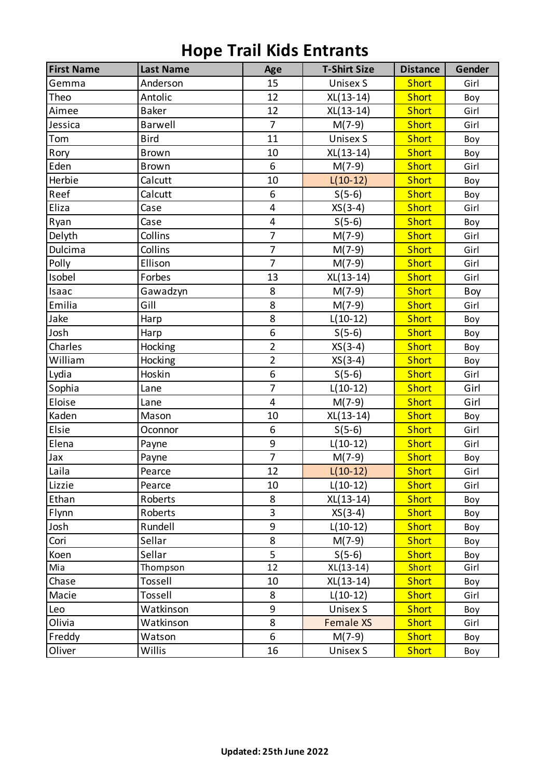| <b>First Name</b> | <b>Last Name</b> | Age            | <b>T-Shirt Size</b> | <b>Distance</b> | Gender |
|-------------------|------------------|----------------|---------------------|-----------------|--------|
| Gemma             | Anderson         | 15             | <b>Unisex S</b>     | <b>Short</b>    | Girl   |
| Theo              | Antolic          | 12             | $XL(13-14)$         | <b>Short</b>    | Boy    |
| Aimee             | <b>Baker</b>     | 12             | $XL(13-14)$         | <b>Short</b>    | Girl   |
| Jessica           | <b>Barwell</b>   | $\overline{7}$ | $M(7-9)$            | <b>Short</b>    | Girl   |
| Tom               | <b>Bird</b>      | 11             | <b>Unisex S</b>     | <b>Short</b>    | Boy    |
| Rory              | <b>Brown</b>     | 10             | XL(13-14)           | <b>Short</b>    | Boy    |
| Eden              | <b>Brown</b>     | 6              | $M(7-9)$            | <b>Short</b>    | Girl   |
| Herbie            | Calcutt          | 10             | $L(10-12)$          | <b>Short</b>    | Boy    |
| Reef              | Calcutt          | 6              | $S(5-6)$            | <b>Short</b>    | Boy    |
| Eliza             | Case             | 4              | $XS(3-4)$           | <b>Short</b>    | Girl   |
| Ryan              | Case             | $\overline{4}$ | $S(5-6)$            | <b>Short</b>    | Boy    |
| Delyth            | Collins          | $\overline{7}$ | $M(7-9)$            | <b>Short</b>    | Girl   |
| Dulcima           | Collins          | $\overline{7}$ | $M(7-9)$            | <b>Short</b>    | Girl   |
| Polly             | Ellison          | $\overline{7}$ | $M(7-9)$            | <b>Short</b>    | Girl   |
| Isobel            | Forbes           | 13             | XL(13-14)           | <b>Short</b>    | Girl   |
| Isaac             | Gawadzyn         | 8              | $M(7-9)$            | <b>Short</b>    | Boy    |
| Emilia            | Gill             | 8              | $M(7-9)$            | <b>Short</b>    | Girl   |
| Jake              | Harp             | 8              | $L(10-12)$          | <b>Short</b>    | Boy    |
| Josh              | Harp             | 6              | $S(5-6)$            | <b>Short</b>    | Boy    |
| Charles           | Hocking          | $\overline{2}$ | $XS(3-4)$           | <b>Short</b>    | Boy    |
| William           | Hocking          | $\overline{2}$ | $XS(3-4)$           | <b>Short</b>    | Boy    |
| Lydia             | Hoskin           | 6              | $S(5-6)$            | <b>Short</b>    | Girl   |
| Sophia            | Lane             | $\overline{7}$ | $L(10-12)$          | <b>Short</b>    | Girl   |
| Eloise            | Lane             | $\overline{4}$ | $M(7-9)$            | <b>Short</b>    | Girl   |
| Kaden             | Mason            | 10             | $XL(13-14)$         | <b>Short</b>    | Boy    |
| Elsie             | Oconnor          | 6              | $S(5-6)$            | <b>Short</b>    | Girl   |
| Elena             | Payne            | 9              | $L(10-12)$          | <b>Short</b>    | Girl   |
| Jax               | Payne            | $\overline{7}$ | $M(7-9)$            | <b>Short</b>    | Boy    |
| Laila             | Pearce           | 12             | $L(10-12)$          | <b>Short</b>    | Girl   |
| Lizzie            | Pearce           | 10             | $L(10-12)$          | <b>Short</b>    | Girl   |
| Ethan             | Roberts          | 8              | XL(13-14)           | <b>Short</b>    | Boy    |
| Flynn             | Roberts          | 3              | $XS(3-4)$           | <b>Short</b>    | Boy    |
| Josh              | Rundell          | 9              | $L(10-12)$          | <b>Short</b>    | Boy    |
| Cori              | Sellar           | 8              | $M(7-9)$            | <b>Short</b>    | Boy    |
| Koen              | Sellar           | 5              | $S(5-6)$            | <b>Short</b>    | Boy    |
| Mia               | Thompson         | 12             | $XL(13-14)$         | <b>Short</b>    | Girl   |
| Chase             | Tossell          | 10             | XL(13-14)           | <b>Short</b>    | Boy    |
| Macie             | Tossell          | 8              | $L(10-12)$          | <b>Short</b>    | Girl   |
| Leo               | Watkinson        | 9              | Unisex S            | <b>Short</b>    | Boy    |
| Olivia            | Watkinson        | 8              | <b>Female XS</b>    | <b>Short</b>    | Girl   |
| Freddy            | Watson           | 6              | $M(7-9)$            | <b>Short</b>    | Boy    |
| Oliver            | Willis           | 16             | <b>Unisex S</b>     | <b>Short</b>    | Boy    |

## **Hope Trail Kids Entrants**